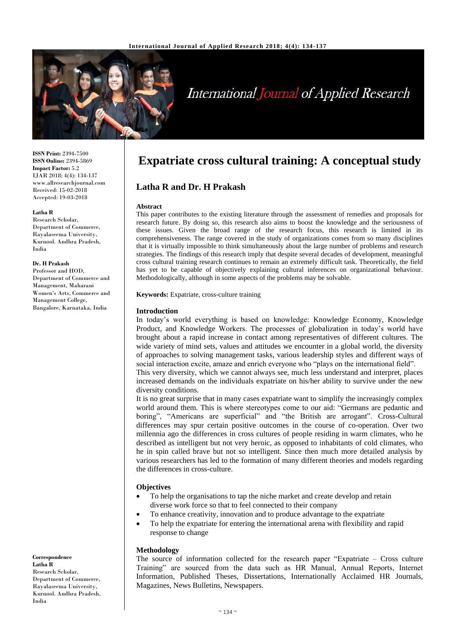

# **International Journal of Applied Research**

**ISSN Print:** 2394-7500 **ISSN Online:** 2394-5869 **Impact Factor:** 5.2 IJAR 2018; 4(4): 134-137 www.allresearchjournal.com Received: 15-02-2018 Accepted: 19-03-2018

#### **Latha R**

Research Scholar, Department of Commerce, Rayalaseema University, Kurnool. Andhra Pradesh, India

#### **Dr. H Prakash**

Professor and HOD, Department of Commerce and Management, Maharani Women's Arts, Commerce and Management College, Bangalore, Karnataka, India

**Correspondence Latha R** Research Scholar, Department of Commerce, Rayalaseema University, Kurnool. Andhra Pradesh, India

# **Expatriate cross cultural training: A conceptual study**

#### **Latha R and Dr. H Prakash**

#### **Abstract**

This paper contributes to the existing literature through the assessment of remedies and proposals for research future. By doing so, this research also aims to boost the knowledge and the seriousness of these issues. Given the broad range of the research focus, this research is limited in its comprehensiveness. The range covered in the study of organizations comes from so many disciplines that it is virtually impossible to think simultaneously about the large number of problems and research strategies. The findings of this research imply that despite several decades of development, meaningful cross cultural training research continues to remain an extremely difficult task. Theoretically, the field has yet to be capable of objectively explaining cultural inferences on organizational behaviour. Methodologically, although in some aspects of the problems may be solvable.

**Keywords:** Expatriate, cross-culture training

#### **Introduction**

In today's world everything is based on knowledge: Knowledge Economy, Knowledge Product, and Knowledge Workers. The processes of globalization in today's world have brought about a rapid increase in contact among representatives of different cultures. The wide variety of mind sets, values and attitudes we encounter in a global world, the diversity of approaches to solving management tasks, various leadership styles and different ways of social interaction excite, amaze and enrich everyone who "plays on the international field".

This very diversity, which we cannot always see, much less understand and interpret, places increased demands on the individuals expatriate on his/her ability to survive under the new diversity conditions.

It is no great surprise that in many cases expatriate want to simplify the increasingly complex world around them. This is where stereotypes come to our aid: "Germans are pedantic and boring", "Americans are superficial" and "the British are arrogant". Cross-Cultural differences may spur certain positive outcomes in the course of co-operation. Over two millennia ago the differences in cross cultures of people residing in warm climates, who he described as intelligent but not very heroic, as opposed to inhabitants of cold climates, who he in spin called brave but not so intelligent. Since then much more detailed analysis by various researchers has led to the formation of many different theories and models regarding the differences in cross-culture.

#### **Objectives**

- To help the organisations to tap the niche market and create develop and retain diverse work force so that to feel connected to their company
- To enhance creativity, innovation and to produce advantage to the expatriate
- To help the expatriate for entering the international arena with flexibility and rapid response to change

#### **Methodology**

The source of information collected for the research paper "Expatriate – Cross culture Training" are sourced from the data such as HR Manual, Annual Reports, Internet Information, Published Theses, Dissertations, Internationally Acclaimed HR Journals, Magazines, News Bulletins, Newspapers.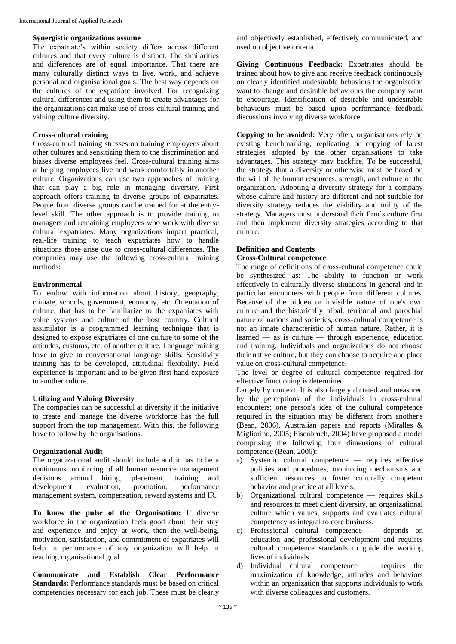#### **Synergistic organizations assume**

The expatriate's within society differs across different cultures and that every culture is distinct. The similarities and differences are of equal importance. That there are many culturally distinct ways to live, work, and achieve personal and organisational goals. The best way depends on the cultures of the expatriate involved. For recognizing cultural differences and using them to create advantages for the organizations can make use of cross-cultural training and valuing culture diversity.

# **Cross-cultural training**

Cross-cultural training stresses on training employees about other cultures and sensitizing them to the discrimination and biases diverse employees feel. Cross-cultural training aims at helping employees live and work comfortably in another culture. Organizations can use two approaches of training that can play a big role in managing diversity. First approach offers training to diverse groups of expatriates. People from diverse groups can be trained for at the entrylevel skill. The other approach is to provide training to managers and remaining employees who work with diverse cultural expatriates. Many organizations impart practical, real-life training to teach expatriates how to handle situations those arise due to cross-cultural differences. The companies may use the following cross-cultural training methods:

#### **Environmental**

To endow with information about history, geography, climate, schools, government, economy, etc. Orientation of culture, that has to be familiarize to the expatriates with value systems and culture of the host country. Cultural assimilator is a programmed learning technique that is designed to expose expatriates of one culture to some of the attitudes, customs, etc. of another culture. Language training have to give to conversational language skills. Sensitivity training has to be developed, attitudinal flexibility. Field experience is important and to be given first hand exposure to another culture.

# **Utilizing and Valuing Diversity**

The companies can be successful at diversity if the initiative to create and manage the diverse workforce has the full support from the top management. With this, the following have to follow by the organisations.

#### **Organizational Audit**

The organizational audit should include and it has to be a continuous monitoring of all human resource management decisions around hiring, placement, training and development, evaluation, promotion, performance management system, compensation, reward systems and IR.

**To know the pulse of the Organisation:** If diverse workforce in the organization feels good about their stay and experience and enjoy at work, then the well-being, motivation, satisfaction, and commitment of expatriates will help in performance of any organization will help in reaching organisational goal.

**Communicate and Establish Clear Performance Standards:** Performance standards must be based on critical competencies necessary for each job. These must be clearly

and objectively established, effectively communicated, and used on objective criteria.

**Giving Continuous Feedback:** Expatriates should be trained about how to give and receive feedback continuously on clearly identified undesirable behaviors the organisation want to change and desirable behaviours the company want to encourage. Identification of desirable and undesirable behaviours must be based upon performance feedback discussions involving diverse workforce.

**Copying to be avoided:** Very often, organisations rely on existing benchmarking, replicating or copying of latest strategies adopted by the other organisations to take advantages. This strategy may backfire. To be successful, the strategy that a diversity or otherwise must be based on the will of the human resources, strength, and culture of the organization. Adopting a diversity strategy for a company whose culture and history are different and not suitable for diversity strategy reduces the viability and utility of the strategy. Managers must understand their firm's culture first and then implement diversity strategies according to that culture.

# **Definition and Contents Cross-Cultural competence**

The range of definitions of cross-cultural competence could be synthesized as: The ability to function or work effectively in culturally diverse situations in general and in particular encounters with people from different cultures. Because of the hidden or invisible nature of one's own culture and the historically tribal, territorial and parochial nature of nations and societies, cross-cultural competence is not an innate characteristic of human nature. Rather, it is learned — as is culture — through experience, education and training. Individuals and organizations do not choose their native culture, but they can choose to acquire and place value on cross-cultural competence.

The level or degree of cultural competence required for effective functioning is determined

Largely by context. It is also largely dictated and measured by the perceptions of the individuals in cross-cultural encounters; one person's idea of the cultural competence required in the situation may be different from another's (Bean, 2006). Australian papers and reports (Miralles & Migliorino, 2005; Eisenbruch, 2004) have proposed a model comprising the following four dimensions of cultural competence (Bean, 2006):

- a) Systemic cultural competence requires effective policies and procedures, monitoring mechanisms and sufficient resources to foster culturally competent behavior and practice at all levels.
- b) Organizational cultural competence requires skills and resources to meet client diversity, an organizational culture which values, supports and evaluates cultural competency as integral to core business.
- c) Professional cultural competence depends on education and professional development and requires cultural competence standards to guide the working lives of individuals.
- d) Individual cultural competence requires the maximization of knowledge, attitudes and behaviors within an organization that supports individuals to work with diverse colleagues and customers.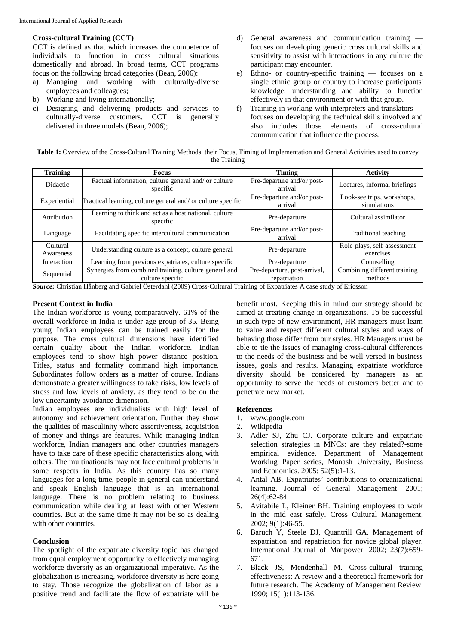# **Cross-cultural Training (CCT)**

CCT is defined as that which increases the competence of individuals to function in cross cultural situations domestically and abroad. In broad terms, CCT programs focus on the following broad categories (Bean, 2006):

- a) Managing and working with culturally-diverse employees and colleagues;
- b) Working and living internationally;
- c) Designing and delivering products and services to culturally-diverse customers. CCT is generally delivered in three models (Bean, 2006);
- d) General awareness and communication training focuses on developing generic cross cultural skills and sensitivity to assist with interactions in any culture the participant may encounter.
- e) Ethno- or country-specific training focuses on a single ethnic group or country to increase participants' knowledge, understanding and ability to function effectively in that environment or with that group.
- f) Training in working with interpreters and translators focuses on developing the technical skills involved and also includes those elements of cross-cultural communication that influence the process.

Table 1: Overview of the Cross-Cultural Training Methods, their Focus, Timing of Implementation and General Activities used to convey the Training

| <b>Training</b>       | Focus                                                                                                                                                                                                                                                                                                                                                                          | <b>Timing</b>                                | <b>Activity</b>                           |
|-----------------------|--------------------------------------------------------------------------------------------------------------------------------------------------------------------------------------------------------------------------------------------------------------------------------------------------------------------------------------------------------------------------------|----------------------------------------------|-------------------------------------------|
| Didactic              | Factual information, culture general and/ or culture<br>specific                                                                                                                                                                                                                                                                                                               | Pre-departure and/or post-<br>arrival        | Lectures, informal briefings              |
| Experiential          | Practical learning, culture general and/ or culture specific                                                                                                                                                                                                                                                                                                                   | Pre-departure and/or post-<br>arrival        | Look-see trips, workshops,<br>simulations |
| Attribution           | Learning to think and act as a host national, culture<br>specific                                                                                                                                                                                                                                                                                                              | Pre-departure                                | Cultural assimilator                      |
| Language              | Facilitating specific intercultural communication                                                                                                                                                                                                                                                                                                                              | Pre-departure and/or post-<br>arrival        | Traditional teaching                      |
| Cultural<br>Awareness | Understanding culture as a concept, culture general                                                                                                                                                                                                                                                                                                                            | Pre-departure                                | Role-plays, self-assessment<br>exercises  |
| Interaction           | Learning from previous expatriates, culture specific                                                                                                                                                                                                                                                                                                                           | Pre-departure                                | Counselling                               |
| Sequential            | Synergies from combined training, culture general and<br>culture specific<br>$\alpha$ and $\alpha$ in the state of $\alpha$ is the state of $\alpha$ and $\alpha$ and $\alpha$ is the state of $\alpha$ is the $\alpha$ is the $\alpha$ is the $\alpha$ is the $\alpha$ is the $\alpha$ is the $\alpha$ is the $\alpha$ is the $\alpha$ is the $\alpha$ is the $\alpha$ is the | Pre-departure, post-arrival,<br>repatriation | Combining different training<br>methods   |

*Source:* Christian Hånberg and Gabriel Österdahl (2009) Cross-Cultural Training of Expatriates A case study of Ericsson

#### **Present Context in India**

The Indian workforce is young comparatively. 61% of the overall workforce in India is under age group of 35. Being young Indian employees can be trained easily for the purpose. The cross cultural dimensions have identified certain quality about the Indian workforce. Indian employees tend to show high power distance position. Titles, status and formality command high importance. Subordinates follow orders as a matter of course. Indians demonstrate a greater willingness to take risks, low levels of stress and low levels of anxiety, as they tend to be on the low uncertainty avoidance dimension.

Indian employees are individualists with high level of autonomy and achievement orientation. Further they show the qualities of masculinity where assertiveness, acquisition of money and things are features. While managing Indian workforce, Indian managers and other countries managers have to take care of these specific characteristics along with others. The multinationals may not face cultural problems in some respects in India. As this country has so many languages for a long time, people in general can understand and speak English language that is an international language. There is no problem relating to business communication while dealing at least with other Western countries. But at the same time it may not be so as dealing with other countries.

# **Conclusion**

The spotlight of the expatriate diversity topic has changed from equal employment opportunity to effectively managing workforce diversity as an organizational imperative. As the globalization is increasing, workforce diversity is here going to stay. Those recognize the globalization of labor as a positive trend and facilitate the flow of expatriate will be

benefit most. Keeping this in mind our strategy should be aimed at creating change in organizations. To be successful in such type of new environment, HR managers must learn to value and respect different cultural styles and ways of behaving those differ from our styles. HR Managers must be able to tie the issues of managing cross-cultural differences to the needs of the business and be well versed in business issues, goals and results. Managing expatriate workforce diversity should be considered by managers as an opportunity to serve the needs of customers better and to penetrate new market.

#### **References**

- 1. www.google.com
- 2. Wikipedia
- 3. Adler SJ, Zhu CJ. Corporate culture and expatriate selection strategies in MNCs: are they related?-some empirical evidence. Department of Management Working Paper series, Monash University, Business and Economics. 2005; 52(5):1-13.
- 4. Antal AB. Expatriates' contributions to organizational learning. Journal of General Management. 2001; 26(4):62-84.
- 5. Avitabile L, Kleiner BH. Training employees to work in the mid east safely. Cross Cultural Management, 2002; 9(1):46-55.
- 6. Baruch Y, Steele DJ, Quantrill GA. Management of expatriation and repatriation for novice global player. International Journal of Manpower. 2002; 23(7):659- 671.
- 7. Black JS, Mendenhall M. Cross-cultural training effectiveness: A review and a theoretical framework for future research. The Academy of Management Review. 1990; 15(1):113-136.